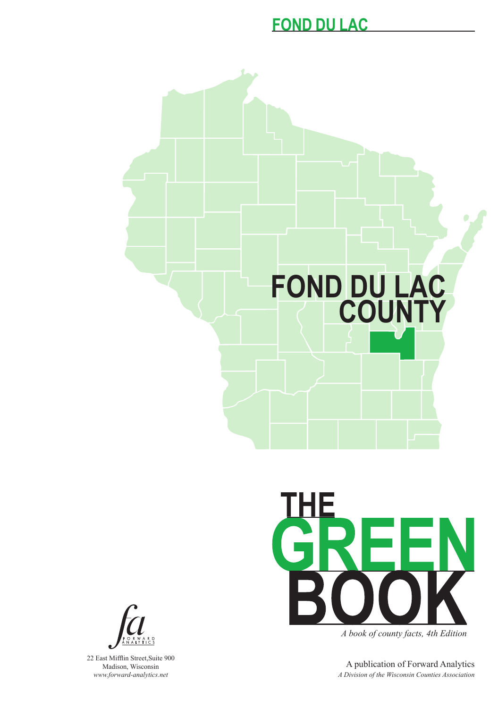#### **FOND DU LAC**





*A book of county facts, 4th Edition*

A publication of Forward Analytics *A Division of the Wisconsin Counties Association*



22 East Mifflin Street,Suite 900 Madison, Wisconsin *www.forward-analytics.net*